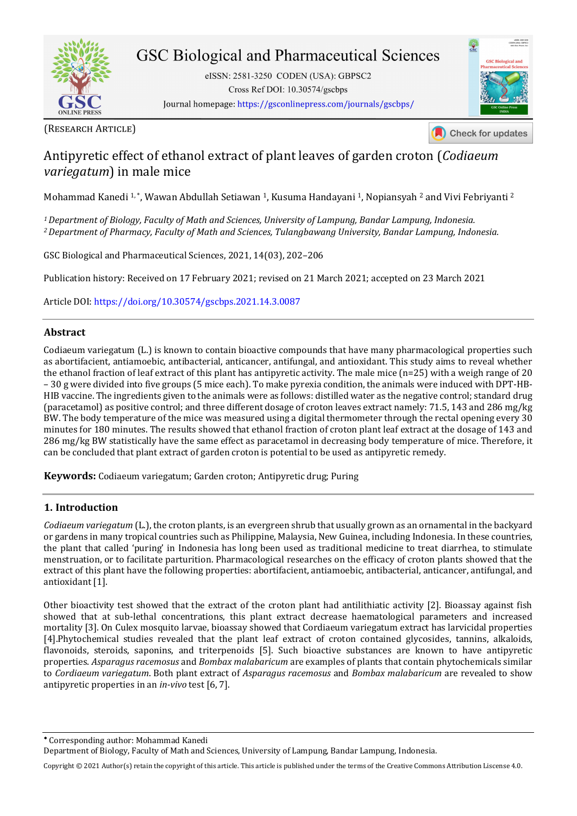

# **GSC Biological and Pharmaceutical Sciences**

eISSN: 2581-3250 CODEN (USA): GBPSC2 Cross Ref DOI: 10.30574/gscbps Journal homepage: https://gsconlinepress.com/journals/gscbps/



Check for updates

# Antipyretic effect of ethanol extract of plant leaves of garden croton (*Codiaeum variegatum*) in male mice

Mohammad Kanedi 1, \*, Wawan Abdullah Setiawan 1, Kusuma Handayani 1, Nopiansyah 2 and Vivi Febriyanti 2

*<sup>1</sup>Department of Biology, Faculty of Math and Sciences, University of Lampung, Bandar Lampung, Indonesia. <sup>2</sup>Department of Pharmacy, Faculty of Math and Sciences, Tulangbawang University, Bandar Lampung, Indonesia.* 

GSC Biological and Pharmaceutical Sciences, 2021, 14(03), 202–206

Publication history: Received on 17 February 2021; revised on 21 March 2021; accepted on 23 March 2021

Article DOI[: https://doi.org/10.30574/gscbps.2021.14.3.0087](https://doi.org/10.30574/gscbps.2021.14.3.0087)

# **Abstract**

Codiaeum variegatum (L.) is known to contain bioactive compounds that have many pharmacological properties such as abortifacient, antiamoebic, antibacterial, anticancer, antifungal, and antioxidant. This study aims to reveal whether the ethanol fraction of leaf extract of this plant has antipyretic activity. The male mice (n=25) with a weigh range of 20 – 30 g were divided into five groups (5 mice each). To make pyrexia condition, the animals were induced with DPT-HB-HIB vaccine. The ingredients given to the animals were as follows: distilled water as the negative control; standard drug (paracetamol) as positive control; and three different dosage of croton leaves extract namely: 71.5, 143 and 286 mg/kg BW. The body temperature of the mice was measured using a digital thermometer through the rectal opening every 30 minutes for 180 minutes. The results showed that ethanol fraction of croton plant leaf extract at the dosage of 143 and 286 mg/kg BW statistically have the same effect as paracetamol in decreasing body temperature of mice. Therefore, it can be concluded that plant extract of garden croton is potential to be used as antipyretic remedy.

**Keywords:** Codiaeum variegatum; Garden croton; Antipyretic drug; Puring

#### **1. Introduction**

*Codiaeum variegatum* (L.), the croton plants, is an evergreen shrub that usually grown as an ornamental in the backyard or gardens in many tropical countries such as Philippine, Malaysia, New Guinea, including Indonesia. In these countries, the plant that called 'puring' in Indonesia has long been used as traditional medicine to treat diarrhea, to stimulate menstruation, or to facilitate parturition. Pharmacological researches on the efficacy of croton plants showed that the extract of this plant have the following properties: abortifacient, antiamoebic, antibacterial, anticancer, antifungal, and antioxidant [1].

Other bioactivity test showed that the extract of the croton plant had antilithiatic activity [2]. Bioassay against fish showed that at sub-lethal concentrations, this plant extract decrease haematological parameters and increased mortality [3]. On Culex mosquito larvae, bioassay showed that Cordiaeum variegatum extract has larvicidal properties [4].Phytochemical studies revealed that the plant leaf extract of croton contained glycosides, tannins, alkaloids, flavonoids, steroids, saponins, and triterpenoids [5]. Such bioactive substances are known to have antipyretic properties. *Asparagus racemosus* and *Bombax malabaricum* are examples of plants that contain phytochemicals similar to *Cordiaeum variegatum*. Both plant extract of *Asparagus racemosus* and *Bombax malabaricum* are revealed to show antipyretic properties in an *in-vivo* test [6, 7].

Copyright © 2021 Author(s) retain the copyright of this article. This article is published under the terms of th[e Creative Commons Attribution Liscense 4.0.](http://creativecommons.org/licenses/by/4.0/deed.en_US) 

Corresponding author: Mohammad Kanedi

Department of Biology, Faculty of Math and Sciences, University of Lampung, Bandar Lampung, Indonesia.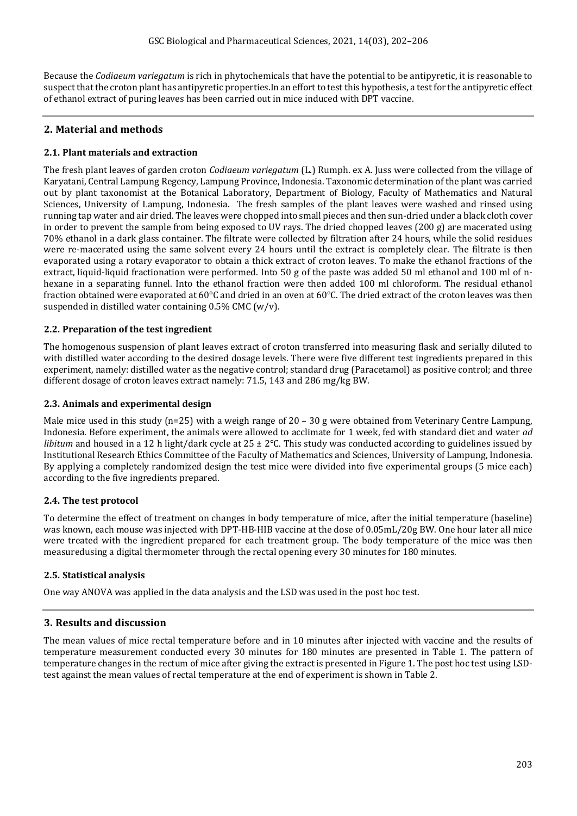Because the *Codiaeum variegatum* is rich in phytochemicals that have the potential to be antipyretic, it is reasonable to suspect that the croton plant has antipyretic properties.In an effort to test this hypothesis, a test for the antipyretic effect of ethanol extract of puring leaves has been carried out in mice induced with DPT vaccine.

# **2. Material and methods**

### **2.1. Plant materials and extraction**

The fresh plant leaves of garden croton *Codiaeum variegatum* (L.) Rumph. ex A. Juss were collected from the village of Karyatani, Central Lampung Regency, Lampung Province, Indonesia. Taxonomic determination of the plant was carried out by plant taxonomist at the Botanical Laboratory, Department of Biology, Faculty of Mathematics and Natural Sciences, University of Lampung, Indonesia. The fresh samples of the plant leaves were washed and rinsed using running tap water and air dried. The leaves were chopped into small pieces and then sun-dried under a black cloth cover in order to prevent the sample from being exposed to UV rays. The dried chopped leaves (200 g) are macerated using 70% ethanol in a dark glass container. The filtrate were collected by filtration after 24 hours, while the solid residues were re-macerated using the same solvent every 24 hours until the extract is completely clear. The filtrate is then evaporated using a rotary evaporator to obtain a thick extract of croton leaves. To make the ethanol fractions of the extract, liquid-liquid fractionation were performed. Into 50 g of the paste was added 50 ml ethanol and 100 ml of nhexane in a separating funnel. Into the ethanol fraction were then added 100 ml chloroform. The residual ethanol fraction obtained were evaporated at 60 $^{\circ}$ C and dried in an oven at 60 $^{\circ}$ C. The dried extract of the croton leaves was then suspended in distilled water containing 0.5% CMC (w/v).

### **2.2. Preparation of the test ingredient**

The homogenous suspension of plant leaves extract of croton transferred into measuring flask and serially diluted to with distilled water according to the desired dosage levels. There were five different test ingredients prepared in this experiment, namely: distilled water as the negative control; standard drug (Paracetamol) as positive control; and three different dosage of croton leaves extract namely: 71.5, 143 and 286 mg/kg BW.

#### **2.3. Animals and experimental design**

Male mice used in this study ( $n=25$ ) with a weigh range of 20 – 30 g were obtained from Veterinary Centre Lampung, Indonesia. Before experiment, the animals were allowed to acclimate for 1 week, fed with standard diet and water *ad libitum* and housed in a 12 h light/dark cycle at 25 ± 2°C. This study was conducted according to guidelines issued by Institutional Research Ethics Committee of the Faculty of Mathematics and Sciences, University of Lampung, Indonesia. By applying a completely randomized design the test mice were divided into five experimental groups (5 mice each) according to the five ingredients prepared.

#### **2.4. The test protocol**

To determine the effect of treatment on changes in body temperature of mice, after the initial temperature (baseline) was known, each mouse was injected with DPT-HB-HIB vaccine at the dose of 0.05mL/20g BW. One hour later all mice were treated with the ingredient prepared for each treatment group. The body temperature of the mice was then measuredusing a digital thermometer through the rectal opening every 30 minutes for 180 minutes.

# **2.5. Statistical analysis**

One way ANOVA was applied in the data analysis and the LSD was used in the post hoc test.

# **3. Results and discussion**

The mean values of mice rectal temperature before and in 10 minutes after injected with vaccine and the results of temperature measurement conducted every 30 minutes for 180 minutes are presented in Table 1. The pattern of temperature changes in the rectum of mice after giving the extract is presented in Figure 1. The post hoc test using LSDtest against the mean values of rectal temperature at the end of experiment is shown in Table 2.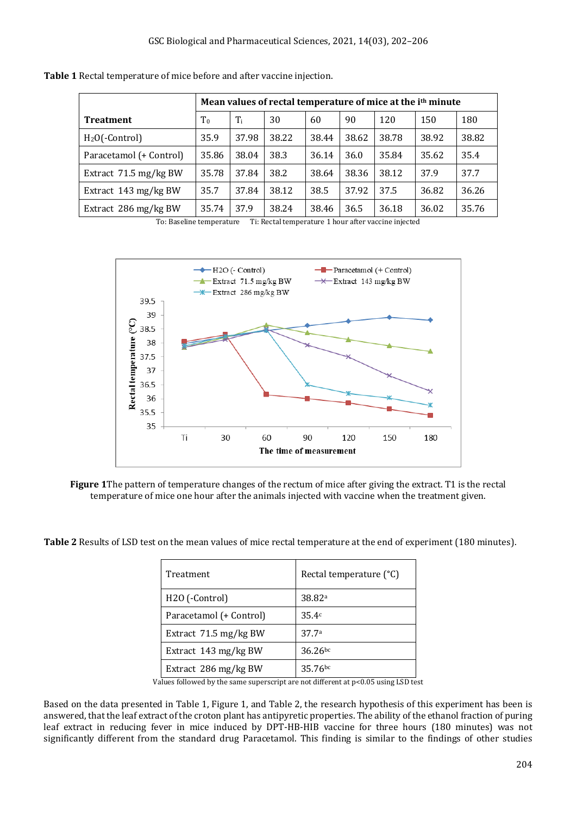|                                 | Mean values of rectal temperature of mice at the i <sup>th</sup> minute |       |       |       |       |       |       |       |
|---------------------------------|-------------------------------------------------------------------------|-------|-------|-------|-------|-------|-------|-------|
| <b>Treatment</b>                | T <sub>0</sub>                                                          | $T_i$ | 30    | 60    | 90    | 120   | 150   | 180   |
| $H2O(-Control)$                 | 35.9                                                                    | 37.98 | 38.22 | 38.44 | 38.62 | 38.78 | 38.92 | 38.82 |
| Paracetamol (+ Control)         | 35.86                                                                   | 38.04 | 38.3  | 36.14 | 36.0  | 35.84 | 35.62 | 35.4  |
| Extract $71.5 \text{ mg/kg BW}$ | 35.78                                                                   | 37.84 | 38.2  | 38.64 | 38.36 | 38.12 | 37.9  | 37.7  |
| Extract $143 \text{ mg/kg BW}$  | 35.7                                                                    | 37.84 | 38.12 | 38.5  | 37.92 | 37.5  | 36.82 | 36.26 |
| Extract 286 mg/kg BW            | 35.74                                                                   | 37.9  | 38.24 | 38.46 | 36.5  | 36.18 | 36.02 | 35.76 |

To: Baseline temperature Ti: Rectal temperature 1 hour after vaccine injected



**Figure 1**The pattern of temperature changes of the rectum of mice after giving the extract. T1 is the rectal temperature of mice one hour after the animals injected with vaccine when the treatment given.

**Table 2** Results of LSD test on the mean values of mice rectal temperature at the end of experiment (180 minutes).

| Treatment               | Rectal temperature (°C) |  |  |  |  |
|-------------------------|-------------------------|--|--|--|--|
| H2O (-Control)          | 38.82 <sup>a</sup>      |  |  |  |  |
| Paracetamol (+ Control) | 35.4c                   |  |  |  |  |
| Extract 71.5 mg/kg BW   | 37.7 <sup>a</sup>       |  |  |  |  |
| Extract 143 mg/kg BW    | $36.26^{bc}$            |  |  |  |  |
| Extract 286 mg/kg BW    | $35.76^{bc}$            |  |  |  |  |

Values followed by the same superscript are not different at p<0.05 using LSD test

Based on the data presented in Table 1, Figure 1, and Table 2, the research hypothesis of this experiment has been is answered, that the leaf extract of the croton plant has antipyretic properties. The ability of the ethanol fraction of puring leaf extract in reducing fever in mice induced by DPT-HB-HIB vaccine for three hours (180 minutes) was not significantly different from the standard drug Paracetamol. This finding is similar to the findings of other studies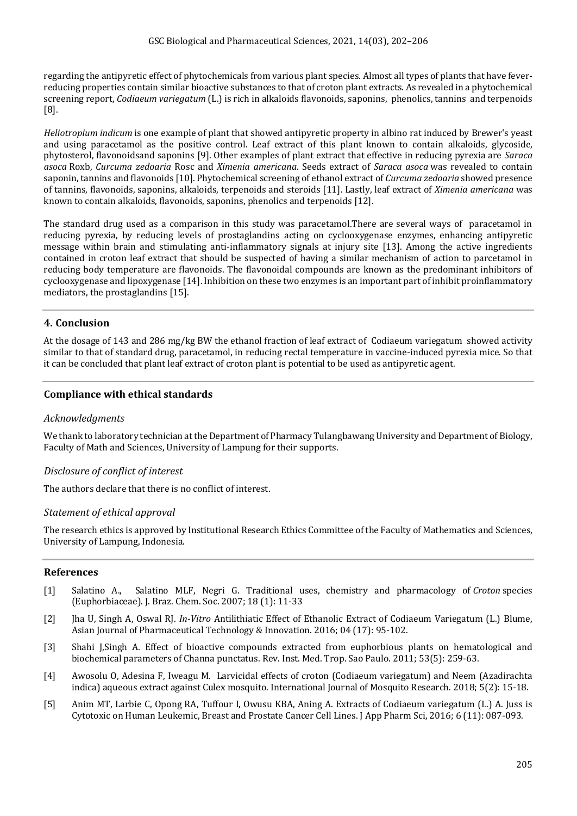regarding the antipyretic effect of phytochemicals from various plant species. Almost all types of plants that have feverreducing properties contain similar bioactive substances to that of croton plant extracts. As revealed in a phytochemical screening report, *Codiaeum variegatum* (L.) is rich in alkaloids flavonoids, saponins, phenolics, tannins and terpenoids [8].

*Heliotropium indicum* is one example of plant that showed antipyretic property in albino rat induced by Brewer's yeast and using paracetamol as the positive control. Leaf extract of this plant known to contain alkaloids, glycoside, phytosterol, flavonoidsand saponins [9]. Other examples of plant extract that effective in reducing pyrexia are *Saraca asoca* Roxb, *Curcuma zedoaria* Rosc and *Ximenia americana*. Seeds extract of *Saraca asoca* was revealed to contain saponin, tannins and flavonoids [10]. Phytochemical screening of ethanol extract of *Curcuma zedoaria* showed presence of tannins, flavonoids, saponins, alkaloids, terpenoids and steroids [11]. Lastly, leaf extract of *Ximenia americana* was known to contain alkaloids, flavonoids, saponins, phenolics and terpenoids [12].

The standard drug used as a comparison in this study was paracetamol.There are several ways of paracetamol in reducing pyrexia, by reducing levels of prostaglandins acting on cyclooxygenase enzymes, enhancing antipyretic message within brain and stimulating anti-inflammatory signals at injury site [13]. Among the active ingredients contained in croton leaf extract that should be suspected of having a similar mechanism of action to parcetamol in reducing body temperature are flavonoids. The flavonoidal compounds are known as the predominant inhibitors of cyclooxygenase and lipoxygenase [14]. Inhibition on these two enzymes is an important part of inhibit proinflammatory mediators, the prostaglandins [15].

# **4. Conclusion**

At the dosage of 143 and 286 mg/kg BW the ethanol fraction of leaf extract of Codiaeum variegatum showed activity similar to that of standard drug, paracetamol, in reducing rectal temperature in vaccine-induced pyrexia mice. So that it can be concluded that plant leaf extract of croton plant is potential to be used as antipyretic agent.

# **Compliance with ethical standards**

#### *Acknowledgments*

We thank to laboratory technician at the Department of Pharmacy Tulangbawang University and Department of Biology, Faculty of Math and Sciences, University of Lampung for their supports.

# *Disclosure of conflict of interest*

The authors declare that there is no conflict of interest.

#### *Statement of ethical approval*

The research ethics is approved by Institutional Research Ethics Committee of the Faculty of Mathematics and Sciences, University of Lampung, Indonesia.

#### **References**

- [1] Salatino A., Salatino MLF, Negri G. Traditional uses, chemistry and pharmacology of *Croton* species (Euphorbiaceae). J. Braz. Chem. Soc. 2007; 18 (1): 11-33
- [2] Jha U, Singh A, Oswal RJ. *In-Vitro* Antilithiatic Effect of Ethanolic Extract of Codiaeum Variegatum (L.) Blume, Asian Journal of Pharmaceutical Technology & Innovation. 2016; 04 (17): 95-102.
- [3] Shahi J,Singh A. Effect of bioactive compounds extracted from euphorbious plants on hematological and biochemical parameters of Channa punctatus. Rev. Inst. Med. Trop. Sao Paulo. 2011; 53(5): 259-63.
- [4] Awosolu O, Adesina F, Iweagu M. Larvicidal effects of croton (Codiaeum variegatum) and Neem (Azadirachta indica) aqueous extract against Culex mosquito. International Journal of Mosquito Research. 2018; 5(2): 15-18.
- [5] Anim MT, Larbie C, Opong RA, Tuffour I, Owusu KBA, Aning A. Extracts of Codiaeum variegatum (L.) A. Juss is Cytotoxic on Human Leukemic, Breast and Prostate Cancer Cell Lines. J App Pharm Sci, 2016; 6 (11): 087-093.